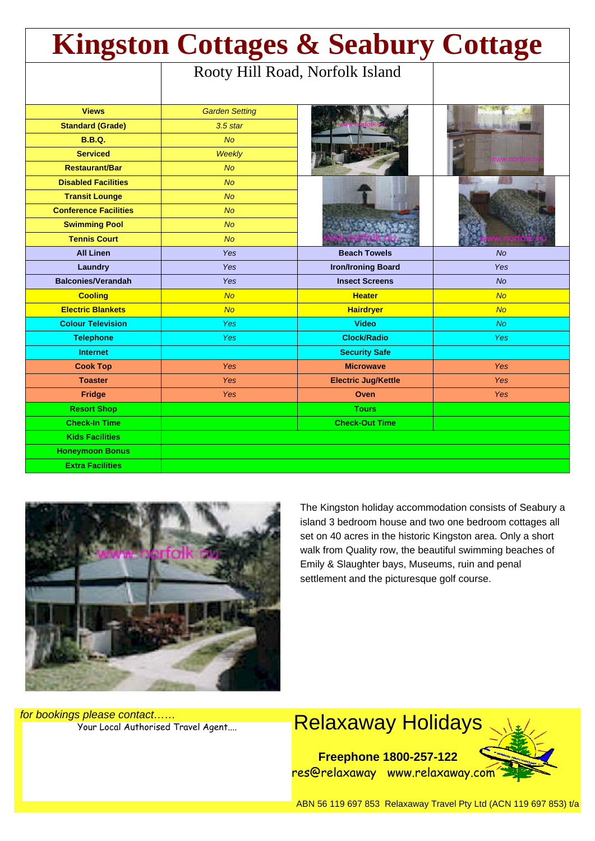| <b>Kingston Cottages &amp; Seabury Cottage</b> |                       |                                 |            |
|------------------------------------------------|-----------------------|---------------------------------|------------|
|                                                |                       | Rooty Hill Road, Norfolk Island |            |
| <b>Views</b>                                   | <b>Garden Setting</b> |                                 |            |
| <b>Standard (Grade)</b>                        | $3.5$ star            |                                 |            |
| <b>B.B.Q.</b>                                  | <b>No</b>             |                                 |            |
| <b>Serviced</b>                                | Weekly                |                                 |            |
| <b>Restaurant/Bar</b>                          | <b>No</b>             |                                 |            |
| <b>Disabled Facilities</b>                     | <b>No</b>             |                                 |            |
| <b>Transit Lounge</b>                          | <b>No</b>             |                                 |            |
| <b>Conference Facilities</b>                   | <b>No</b>             |                                 |            |
| <b>Swimming Pool</b>                           | <b>No</b>             |                                 |            |
| <b>Tennis Court</b>                            | <b>No</b>             |                                 |            |
| <b>All Linen</b>                               | <b>Yes</b>            | <b>Beach Towels</b>             | <b>No</b>  |
| Laundry                                        | Yes                   | <b>Iron/Ironing Board</b>       | Yes        |
| <b>Balconies/Verandah</b>                      | Yes                   | <b>Insect Screens</b>           | <b>No</b>  |
| <b>Cooling</b>                                 | <b>No</b>             | <b>Heater</b>                   | No         |
| <b>Electric Blankets</b>                       | No                    | <b>Hairdryer</b>                | No         |
| <b>Colour Television</b>                       | Yes                   | <b>Video</b>                    | <b>No</b>  |
| <b>Telephone</b>                               | Yes                   | <b>Clock/Radio</b>              | <b>Yes</b> |
| <b>Internet</b>                                |                       | <b>Security Safe</b>            |            |
| <b>Cook Top</b>                                | Yes                   | <b>Microwave</b>                | <b>Yes</b> |
| <b>Toaster</b>                                 | Yes                   | <b>Electric Jug/Kettle</b>      | <b>Yes</b> |
| <b>Fridge</b>                                  | Yes                   | Oven                            | <b>Yes</b> |
| <b>Resort Shop</b>                             |                       | <b>Tours</b>                    |            |
| <b>Check-In Time</b>                           |                       | <b>Check-Out Time</b>           |            |
| <b>Kids Facilities</b>                         |                       |                                 |            |
| <b>Honeymoon Bonus</b>                         |                       |                                 |            |
| <b>Extra Facilities</b>                        |                       |                                 |            |



The Kingston holiday accommodation consists of Seabury a island 3 bedroom house and two one bedroom cottages all set on 40 acres in the historic Kingston area. Only a short walk from Quality row, the beautiful swimming beaches of Emily & Slaughter bays, Museums, ruin and penal settlement and the picturesque golf course.

for bookings please contact……